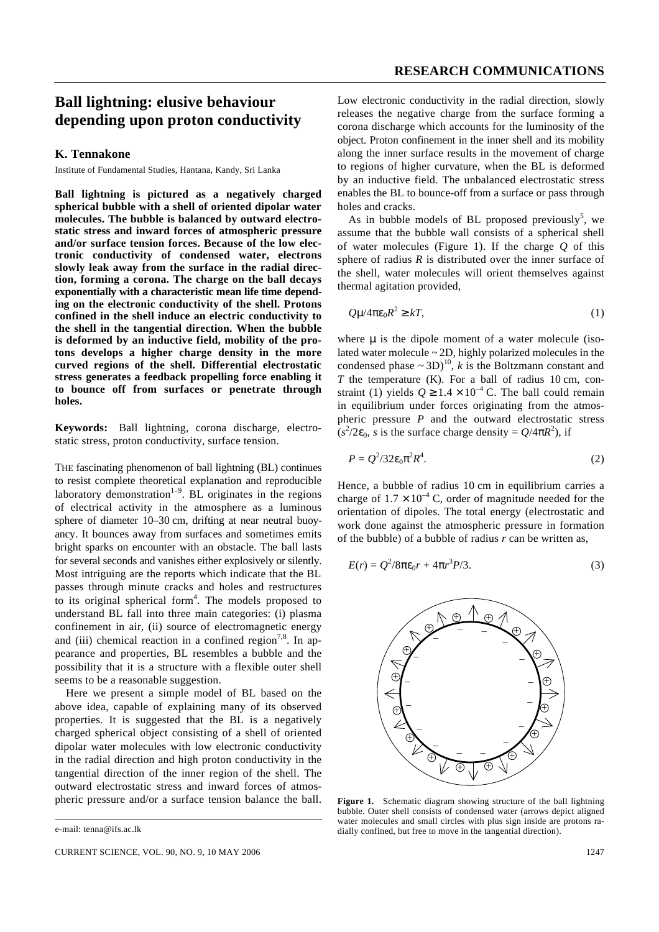## **Ball lightning: elusive behaviour depending upon proton conductivity**

## **K. Tennakone**

Institute of Fundamental Studies, Hantana, Kandy, Sri Lanka

**Ball lightning is pictured as a negatively charged spherical bubble with a shell of oriented dipolar water molecules. The bubble is balanced by outward electrostatic stress and inward forces of atmospheric pressure and/or surface tension forces. Because of the low electronic conductivity of condensed water, electrons slowly leak away from the surface in the radial direction, forming a corona. The charge on the ball decays exponentially with a characteristic mean life time depending on the electronic conductivity of the shell. Protons confined in the shell induce an electric conductivity to the shell in the tangential direction. When the bubble is deformed by an inductive field, mobility of the protons develops a higher charge density in the more curved regions of the shell. Differential electrostatic stress generates a feedback propelling force enabling it to bounce off from surfaces or penetrate through holes.**

**Keywords:** Ball lightning, corona discharge, electrostatic stress, proton conductivity, surface tension.

THE fascinating phenomenon of ball lightning (BL) continues to resist complete theoretical explanation and reproducible laboratory demonstration<sup>1-9</sup>. BL originates in the regions of electrical activity in the atmosphere as a luminous sphere of diameter 10–30 cm, drifting at near neutral buoyancy. It bounces away from surfaces and sometimes emits bright sparks on encounter with an obstacle. The ball lasts for several seconds and vanishes either explosively or silently. Most intriguing are the reports which indicate that the BL passes through minute cracks and holes and restructures to its original spherical form<sup>4</sup>. The models proposed to understand BL fall into three main categories: (i) plasma confinement in air, (ii) source of electromagnetic energy and (iii) chemical reaction in a confined region<sup>7,8</sup>. In appearance and properties, BL resembles a bubble and the possibility that it is a structure with a flexible outer shell seems to be a reasonable suggestion.

Here we present a simple model of BL based on the above idea, capable of explaining many of its observed properties. It is suggested that the BL is a negatively charged spherical object consisting of a shell of oriented dipolar water molecules with low electronic conductivity in the radial direction and high proton conductivity in the tangential direction of the inner region of the shell. The outward electrostatic stress and inward forces of atmospheric pressure and/or a surface tension balance the ball.

CURRENT SCIENCE, VOL. 90, NO. 9, 10 MAY 2006 1247

Low electronic conductivity in the radial direction, slowly releases the negative charge from the surface forming a corona discharge which accounts for the luminosity of the object. Proton confinement in the inner shell and its mobility along the inner surface results in the movement of charge to regions of higher curvature, when the BL is deformed by an inductive field. The unbalanced electrostatic stress enables the BL to bounce-off from a surface or pass through holes and cracks.

As in bubble models of BL proposed previously<sup>5</sup>, we assume that the bubble wall consists of a spherical shell of water molecules (Figure 1). If the charge *Q* of this sphere of radius *R* is distributed over the inner surface of the shell, water molecules will orient themselves against thermal agitation provided,

$$
Qm^2pe_0R^2 \ge kT,\tag{1}
$$

where **m** is the dipole moment of a water molecule (isolated water molecule  $\sim$  2D, highly polarized molecules in the condensed phase  $\sim 3D$ <sup>10</sup>, *k* is the Boltzmann constant and *T* the temperature (K). For a ball of radius 10 cm, constraint (1) yields  $Q \ge 1.4 \times 10^{-4}$  C. The ball could remain in equilibrium under forces originating from the atmospheric pressure *P* and the outward electrostatic stress  $(s^2/2e_0, s$  is the surface charge density =  $Q/4pR^2$ ), if

$$
P = Q^2/32\mathbf{e}_0 \mathbf{p}^2 R^4. \tag{2}
$$

Hence, a bubble of radius 10 cm in equilibrium carries a charge of  $1.7 \times 10^{-4}$  C, order of magnitude needed for the orientation of dipoles. The total energy (electrostatic and work done against the atmospheric pressure in formation of the bubble) of a bubble of radius *r* can be written as,

$$
E(r) = Q^2/8p\mathbf{e}_0r + 4pr^3P/3.
$$
 (3)



Figure 1. Schematic diagram showing structure of the ball lightning bubble. Outer shell consists of condensed water (arrows depict aligned water molecules and small circles with plus sign inside are protons radially confined, but free to move in the tangential direction).

e-mail: tenna@ifs.ac.lk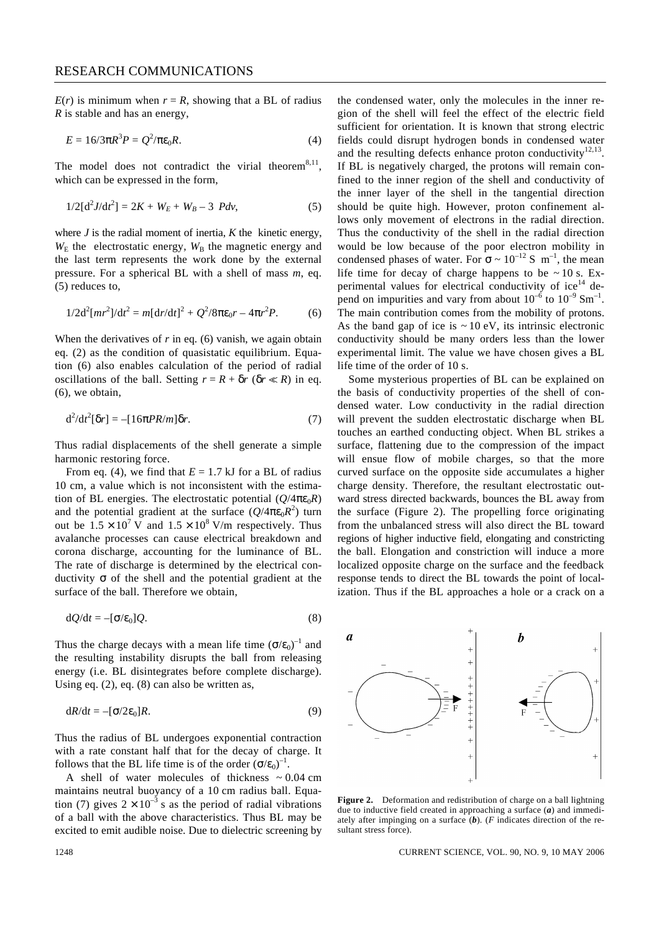$E(r)$  is minimum when  $r = R$ , showing that a BL of radius *R* is stable and has an energy,

$$
E = 16/3pR^3P = Q^2/pe_0R.
$$
 (4)

The model does not contradict the virial theorem<sup>8,11</sup>, which can be expressed in the form,

$$
1/2[d^2J/dt^2] = 2K + W_E + W_B - 3 \, Pdv,\tag{5}
$$

where  $J$  is the radial moment of inertia,  $K$  the kinetic energy,  $W<sub>E</sub>$  the electrostatic energy,  $W<sub>B</sub>$  the magnetic energy and the last term represents the work done by the external pressure. For a spherical BL with a shell of mass *m*, eq. (5) reduces to,

$$
1/2d^{2}[mr^{2}]/dt^{2} = m[dr/dt]^{2} + Q^{2}/8p\mathbf{e}_{0}r - 4pr^{2}P.
$$
 (6)

When the derivatives of  $r$  in eq. (6) vanish, we again obtain eq. (2) as the condition of quasistatic equilibrium. Equation (6) also enables calculation of the period of radial oscillations of the ball. Setting  $r = R + dr$  ( $dr \ll R$ ) in eq. (6), we obtain,

$$
\mathrm{d}^2/\mathrm{d}t^2[\mathbf{d}r] = -[16\mathbf{p}PR/m]\mathbf{d}r. \tag{7}
$$

Thus radial displacements of the shell generate a simple harmonic restoring force.

From eq. (4), we find that  $E = 1.7$  kJ for a BL of radius 10 cm, a value which is not inconsistent with the estimation of BL energies. The electrostatic potential  $(Q/4pe_0R)$ and the potential gradient at the surface  $(Q/4pe_0R^2)$  turn out be  $1.5 \times 10^{7}$  V and  $1.5 \times 10^{8}$  V/m respectively. Thus avalanche processes can cause electrical breakdown and corona discharge, accounting for the luminance of BL. The rate of discharge is determined by the electrical conductivity *s* of the shell and the potential gradient at the surface of the ball. Therefore we obtain,

$$
dQ/dt = -[\mathbf{s}/\mathbf{e}_0]Q. \tag{8}
$$

Thus the charge decays with a mean life time  $(s/e_0)^{-1}$  and the resulting instability disrupts the ball from releasing energy (i.e. BL disintegrates before complete discharge). Using eq. (2), eq. (8) can also be written as,

$$
dR/dt = -[\mathbf{S}/2\mathbf{e}_0]R. \tag{9}
$$

Thus the radius of BL undergoes exponential contraction with a rate constant half that for the decay of charge. It follows that the BL life time is of the order  $(s/e_0)^{-1}$ .

A shell of water molecules of thickness  $\sim 0.04$  cm maintains neutral buoyancy of a 10 cm radius ball. Equation (7) gives  $2 \times 10^{-3}$  s as the period of radial vibrations of a ball with the above characteristics. Thus BL may be excited to emit audible noise. Due to dielectric screening by

the condensed water, only the molecules in the inner region of the shell will feel the effect of the electric field sufficient for orientation. It is known that strong electric fields could disrupt hydrogen bonds in condensed water and the resulting defects enhance proton conductivity $12,13$ . If BL is negatively charged, the protons will remain confined to the inner region of the shell and conductivity of the inner layer of the shell in the tangential direction should be quite high. However, proton confinement allows only movement of electrons in the radial direction. Thus the conductivity of the shell in the radial direction would be low because of the poor electron mobility in condensed phases of water. For  $s \sim 10^{-12}$  S m<sup>-1</sup>, the mean life time for decay of charge happens to be  $\sim$  10 s. Experimental values for electrical conductivity of  $ice<sup>14</sup>$  depend on impurities and vary from about  $10^{-6}$  to  $10^{-9}$  Sm<sup>-1</sup>. The main contribution comes from the mobility of protons. As the band gap of ice is  $\sim 10$  eV, its intrinsic electronic conductivity should be many orders less than the lower experimental limit. The value we have chosen gives a BL life time of the order of 10 s.

Some mysterious properties of BL can be explained on the basis of conductivity properties of the shell of condensed water. Low conductivity in the radial direction will prevent the sudden electrostatic discharge when BL touches an earthed conducting object. When BL strikes a surface, flattening due to the compression of the impact will ensue flow of mobile charges, so that the more curved surface on the opposite side accumulates a higher charge density. Therefore, the resultant electrostatic outward stress directed backwards, bounces the BL away from the surface (Figure 2). The propelling force originating from the unbalanced stress will also direct the BL toward regions of higher inductive field, elongating and constricting the ball. Elongation and constriction will induce a more localized opposite charge on the surface and the feedback response tends to direct the BL towards the point of localization. Thus if the BL approaches a hole or a crack on a



**Figure 2.** Deformation and redistribution of charge on a ball lightning due to inductive field created in approaching a surface (*a*) and immediately after impinging on a surface  $(b)$ . (*F* indicates direction of the resultant stress force).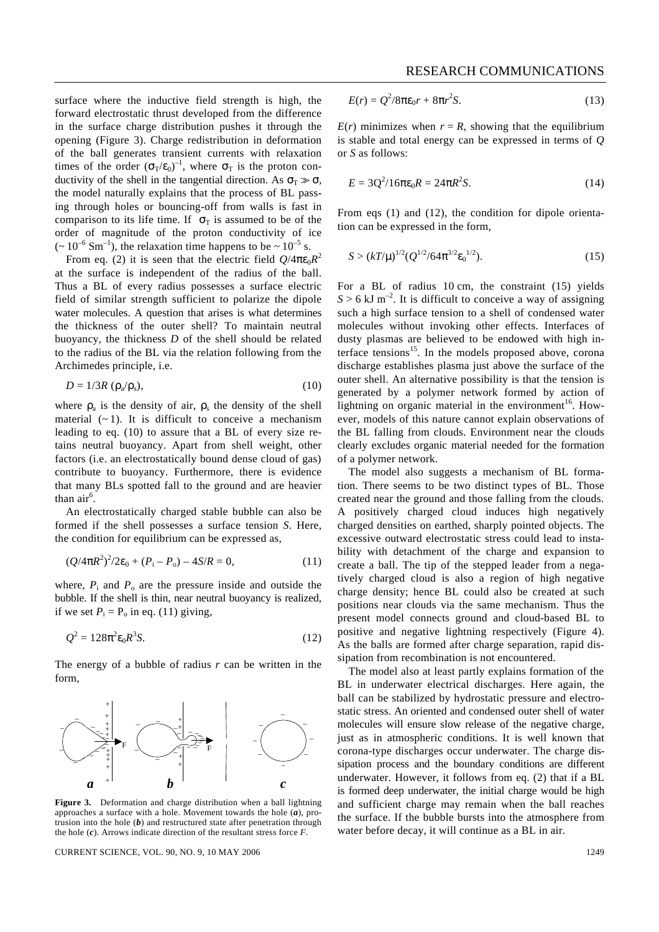surface where the inductive field strength is high, the forward electrostatic thrust developed from the difference in the surface charge distribution pushes it through the opening (Figure 3). Charge redistribution in deformation of the ball generates transient currents with relaxation times of the order  $({\bf s}_{T}/{\bf e}_{0})^{-1}$ , where  ${\bf s}_{T}$  is the proton conductivity of the shell in the tangential direction. As  $S_T \gg S$ , the model naturally explains that the process of BL passing through holes or bouncing-off from walls is fast in comparison to its life time. If  $s<sub>T</sub>$  is assumed to be of the order of magnitude of the proton conductivity of ice  $(~10^{-6} \text{ Sm}^{-1})$ , the relaxation time happens to be  $\sim 10^{-5}$  s.

From eq. (2) it is seen that the electric field  $Q/4$ *pe*<sub>0</sub> $R^2$ at the surface is independent of the radius of the ball. Thus a BL of every radius possesses a surface electric field of similar strength sufficient to polarize the dipole water molecules. A question that arises is what determines the thickness of the outer shell? To maintain neutral buoyancy, the thickness *D* of the shell should be related to the radius of the BL via the relation following from the Archimedes principle, i.e.

$$
D = 1/3R \left( \mathbf{r}_{\rm a} / \mathbf{r}_{\rm s} \right), \tag{10}
$$

where  $r_a$  is the density of air,  $r_s$  the density of the shell material  $(-1)$ . It is difficult to conceive a mechanism leading to eq. (10) to assure that a BL of every size retains neutral buoyancy. Apart from shell weight, other factors (i.e. an electrostatically bound dense cloud of gas) contribute to buoyancy. Furthermore, there is evidence that many BLs spotted fall to the ground and are heavier than air $^6$ .

An electrostatically charged stable bubble can also be formed if the shell possesses a surface tension *S*. Here, the condition for equilibrium can be expressed as,

$$
(Q/4pR^2)^2/2e_0 + (P_i - P_o) - 4S/R = 0,
$$
\n(11)

where,  $P_i$  and  $P_o$  are the pressure inside and outside the bubble. If the shell is thin, near neutral buoyancy is realized, if we set  $P_i = P_o$  in eq. (11) giving,

$$
Q^2 = 128p^2 e_0 R^3 S.
$$
 (12)

The energy of a bubble of radius *r* can be written in the form,



**Figure 3.** Deformation and charge distribution when a ball lightning approaches a surface with a hole. Movement towards the hole (*a*), protrusion into the hole (*b*) and restructured state after penetration through the hole (*c*). Arrows indicate direction of the resultant stress force *F*.

CURRENT SCIENCE, VOL. 90, NO. 9, 10 MAY 2006 12:49

$$
E(r) = Q^2/8p\mathbf{e}_0r + 8pr^2S.
$$
 (13)

 $E(r)$  minimizes when  $r = R$ , showing that the equilibrium is stable and total energy can be expressed in terms of *Q* or *S* as follows:

$$
E = 3Q^2/16pe_0R = 24pR^2S.
$$
 (14)

From eqs (1) and (12), the condition for dipole orientation can be expressed in the form,

$$
S > (kT/m)^{1/2} (Q^{1/2}/64\pi^{3/2} \mathbf{e}_0^{1/2}).
$$
\n(15)

For a BL of radius 10 cm, the constraint (15) yields  $S > 6$  kJ m<sup>-2</sup>. It is difficult to conceive a way of assigning such a high surface tension to a shell of condensed water molecules without invoking other effects. Interfaces of dusty plasmas are believed to be endowed with high interface tensions $15$ . In the models proposed above, corona discharge establishes plasma just above the surface of the outer shell. An alternative possibility is that the tension is generated by a polymer network formed by action of lightning on organic material in the environment<sup>16</sup>. However, models of this nature cannot explain observations of the BL falling from clouds. Environment near the clouds clearly excludes organic material needed for the formation of a polymer network.

The model also suggests a mechanism of BL formation. There seems to be two distinct types of BL. Those created near the ground and those falling from the clouds. A positively charged cloud induces high negatively charged densities on earthed, sharply pointed objects. The excessive outward electrostatic stress could lead to instability with detachment of the charge and expansion to create a ball. The tip of the stepped leader from a negatively charged cloud is also a region of high negative charge density; hence BL could also be created at such positions near clouds via the same mechanism. Thus the present model connects ground and cloud-based BL to positive and negative lightning respectively (Figure 4). As the balls are formed after charge separation, rapid dissipation from recombination is not encountered.

The model also at least partly explains formation of the BL in underwater electrical discharges. Here again, the ball can be stabilized by hydrostatic pressure and electrostatic stress. An oriented and condensed outer shell of water molecules will ensure slow release of the negative charge, just as in atmospheric conditions. It is well known that corona-type discharges occur underwater. The charge dissipation process and the boundary conditions are different underwater. However, it follows from eq. (2) that if a BL is formed deep underwater, the initial charge would be high and sufficient charge may remain when the ball reaches the surface. If the bubble bursts into the atmosphere from water before decay, it will continue as a BL in air.